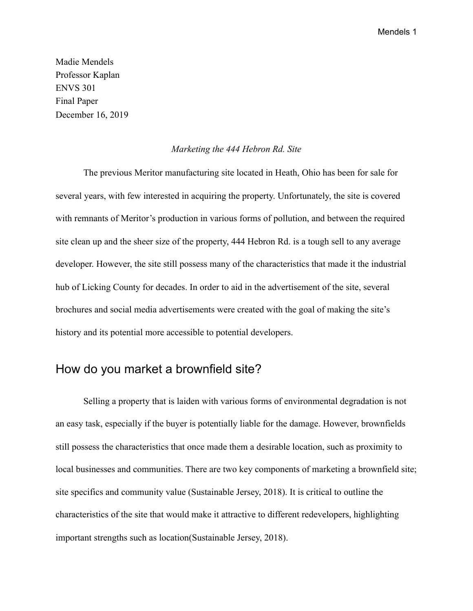Madie Mendels Professor Kaplan ENVS 301 Final Paper December 16, 2019

#### *Marketing the 444 Hebron Rd. Site*

The previous Meritor manufacturing site located in Heath, Ohio has been for sale for several years, with few interested in acquiring the property. Unfortunately, the site is covered with remnants of Meritor's production in various forms of pollution, and between the required site clean up and the sheer size of the property, 444 Hebron Rd. is a tough sell to any average developer. However, the site still possess many of the characteristics that made it the industrial hub of Licking County for decades. In order to aid in the advertisement of the site, several brochures and social media advertisements were created with the goal of making the site's history and its potential more accessible to potential developers.

### How do you market a brownfield site?

Selling a property that is laiden with various forms of environmental degradation is not an easy task, especially if the buyer is potentially liable for the damage. However, brownfields still possess the characteristics that once made them a desirable location, such as proximity to local businesses and communities. There are two key components of marketing a brownfield site; site specifics and community value (Sustainable Jersey, 2018). It is critical to outline the characteristics of the site that would make it attractive to different redevelopers, highlighting important strengths such as location(Sustainable Jersey, 2018).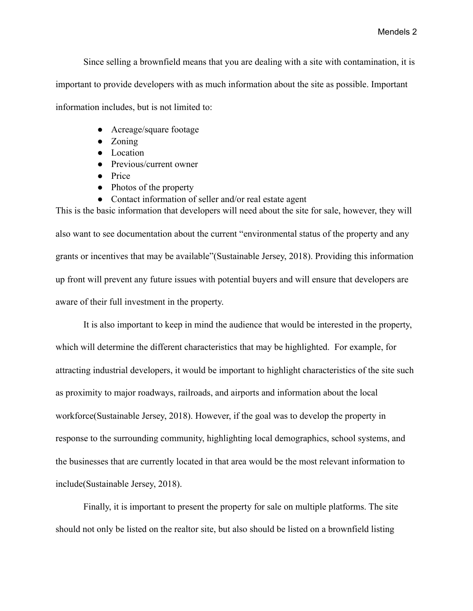Since selling a brownfield means that you are dealing with a site with contamination, it is

important to provide developers with as much information about the site as possible. Important

information includes, but is not limited to:

- Acreage/square footage
- Zoning
- Location
- Previous/current owner
- Price
- Photos of the property
- Contact information of seller and/or real estate agent

also want to see documentation about the current "environmental status of the property and any grants or incentives that may be available"(Sustainable Jersey, 2018). Providing this information up front will prevent any future issues with potential buyers and will ensure that developers are aware of their full investment in the property.

This is the basic information that developers will need about the site for sale, however, they will

 It is also important to keep in mind the audience that would be interested in the property, which will determine the different characteristics that may be highlighted. For example, for attracting industrial developers, it would be important to highlight characteristics of the site such as proximity to major roadways, railroads, and airports and information about the local workforce(Sustainable Jersey, 2018). However, if the goal was to develop the property in response to the surrounding community, highlighting local demographics, school systems, and the businesses that are currently located in that area would be the most relevant information to include(Sustainable Jersey, 2018).

 Finally, it is important to present the property for sale on multiple platforms. The site should not only be listed on the realtor site, but also should be listed on a brownfield listing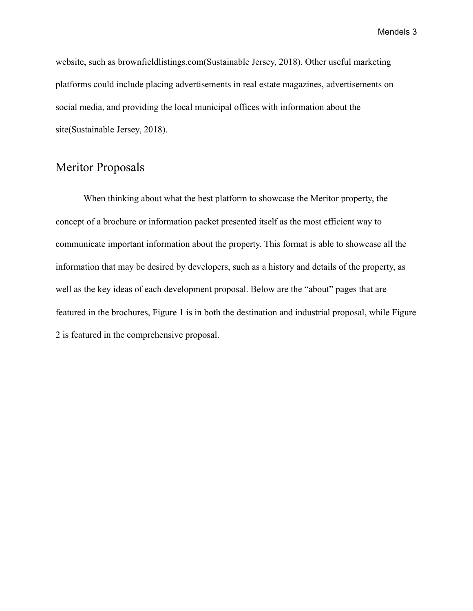website, such as brownfieldlistings.com(Sustainable Jersey, 2018). Other useful marketing platforms could include placing advertisements in real estate magazines, advertisements on social media, and providing the local municipal offices with information about the site(Sustainable Jersey, 2018).

### Meritor Proposals

When thinking about what the best platform to showcase the Meritor property, the concept of a brochure or information packet presented itself as the most efficient way to communicate important information about the property. This format is able to showcase all the information that may be desired by developers, such as a history and details of the property, as well as the key ideas of each development proposal. Below are the "about" pages that are featured in the brochures, Figure 1 is in both the destination and industrial proposal, while Figure 2 is featured in the comprehensive proposal.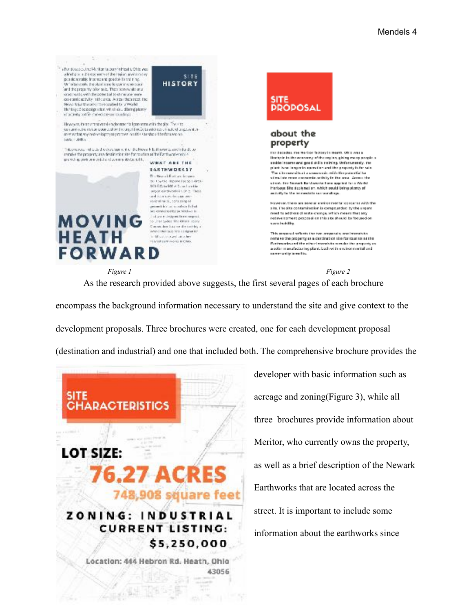

encompass the background information necessary to understand the site and give context to the development proposals. Three brochures were created, one for each development proposal (destination and industrial) and one that included both. The comprehensive brochure provides the



developer with basic information such as acreage and zoning(Figure 3), while all three brochures provide information about Meritor, who currently owns the property, as well as a brief description of the Newark Earthworks that are located across the street. It is important to include some information about the earthworks since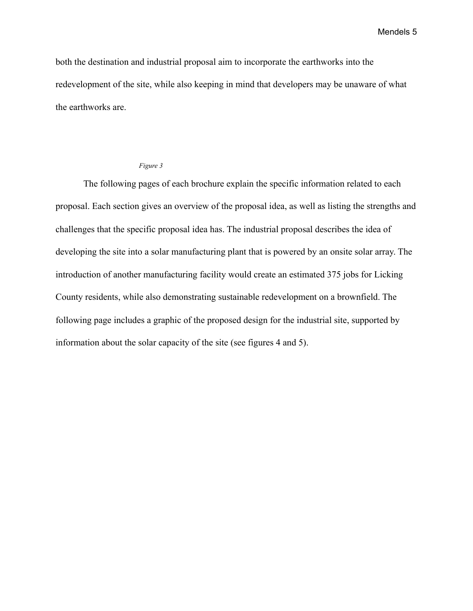both the destination and industrial proposal aim to incorporate the earthworks into the redevelopment of the site, while also keeping in mind that developers may be unaware of what the earthworks are.

#### *Figure 3*

The following pages of each brochure explain the specific information related to each proposal. Each section gives an overview of the proposal idea, as well as listing the strengths and challenges that the specific proposal idea has. The industrial proposal describes the idea of developing the site into a solar manufacturing plant that is powered by an onsite solar array. The introduction of another manufacturing facility would create an estimated 375 jobs for Licking County residents, while also demonstrating sustainable redevelopment on a brownfield. The following page includes a graphic of the proposed design for the industrial site, supported by information about the solar capacity of the site (see figures 4 and 5).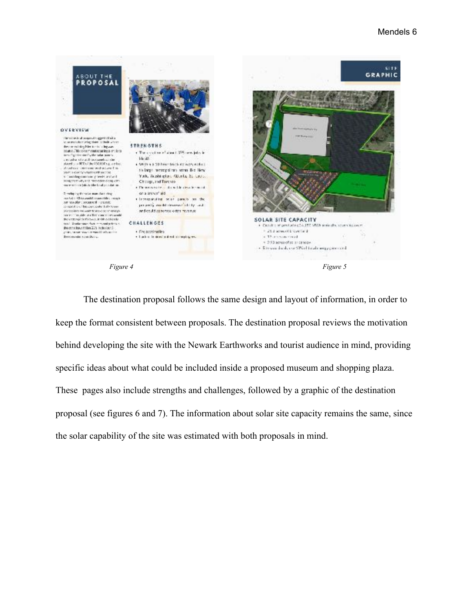

The destination proposal follows the same design and layout of information, in order to keep the format consistent between proposals. The destination proposal reviews the motivation behind developing the site with the Newark Earthworks and tourist audience in mind, providing specific ideas about what could be included inside a proposed museum and shopping plaza. These pages also include strengths and challenges, followed by a graphic of the destination proposal (see figures 6 and 7). The information about solar site capacity remains the same, since the solar capability of the site was estimated with both proposals in mind.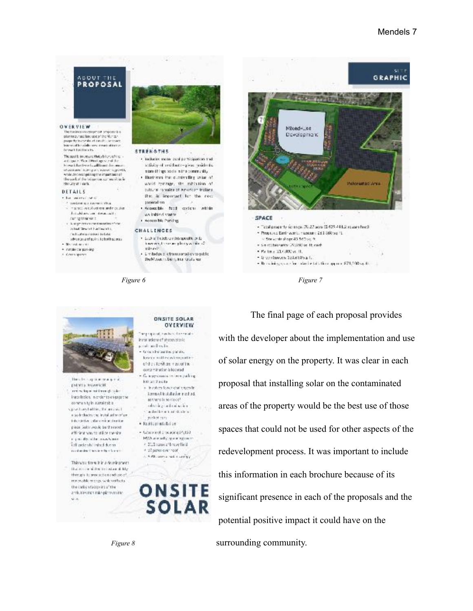



 The final page of each proposal provides with the developer about the implementation and use of solar energy on the property. It was clear in each proposal that installing solar on the contaminated areas of the property would be the best use of those spaces that could not be used for other aspects of the redevelopment process. It was important to include this information in each brochure because of its significant presence in each of the proposals and the potential positive impact it could have on the *Figure 8* Surrounding community.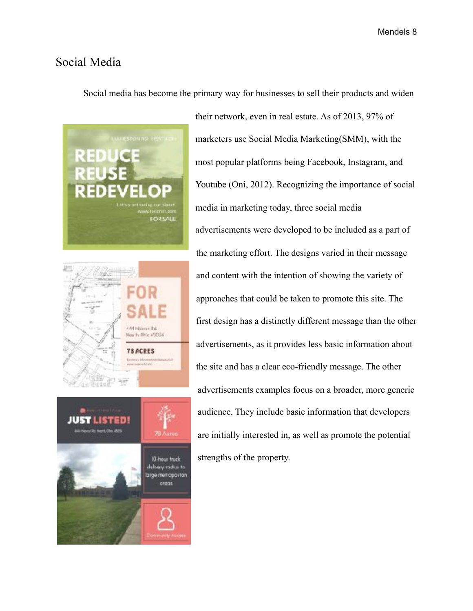# Social Media

Social media has become the primary way for businesses to sell their products and widen







their network, even in real estate. As of 2013, 97% of marketers use Social Media Marketing(SMM), with the most popular platforms being Facebook, Instagram, and Youtube (Oni, 2012). Recognizing the importance of social media in marketing today, three social media advertisements were developed to be included as a part of the marketing effort. The designs varied in their message and content with the intention of showing the variety of approaches that could be taken to promote this site. The first design has a distinctly different message than the other advertisements, as it provides less basic information about the site and has a clear eco-friendly message. The other advertisements examples focus on a broader, more generic audience. They include basic information that developers are initially interested in, as well as promote the potential strengths of the property.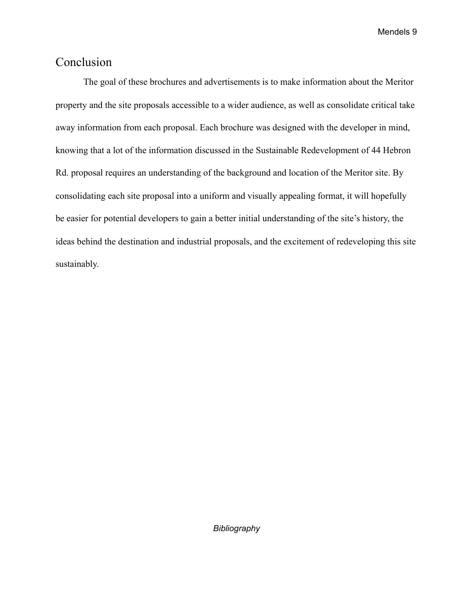# Conclusion

The goal of these brochures and advertisements is to make information about the Meritor property and the site proposals accessible to a wider audience, as well as consolidate critical take away information from each proposal. Each brochure was designed with the developer in mind, knowing that a lot of the information discussed in the Sustainable Redevelopment of 44 Hebron Rd. proposal requires an understanding of the background and location of the Meritor site. By consolidating each site proposal into a uniform and visually appealing format, it will hopefully be easier for potential developers to gain a better initial understanding of the site's history, the ideas behind the destination and industrial proposals, and the excitement of redeveloping this site sustainably.